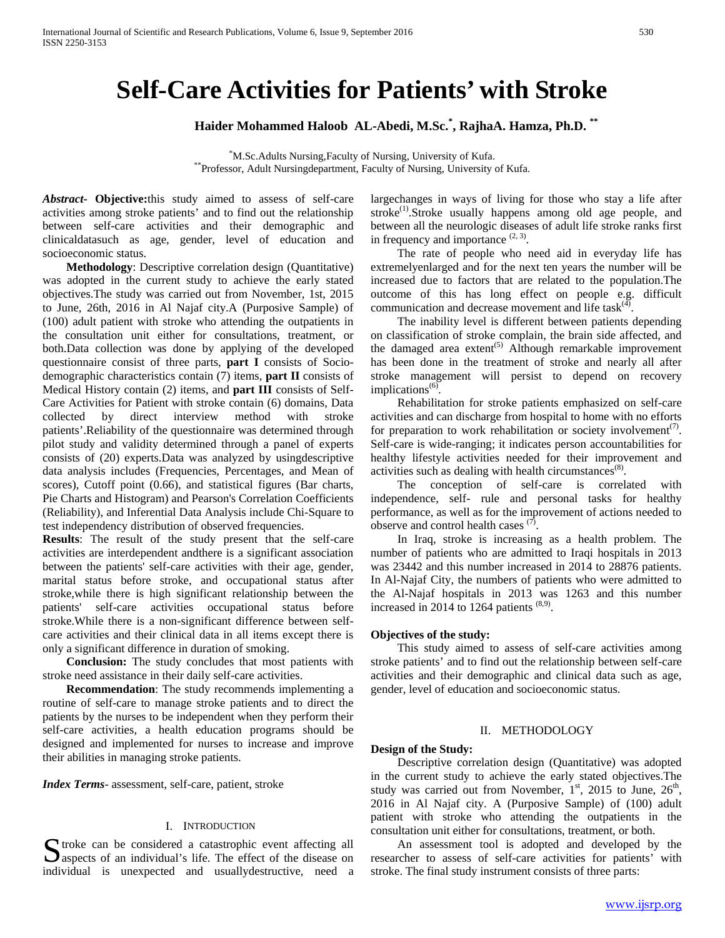# **Self-Care Activities for Patients' with Stroke**

**Haider Mohammed Haloob AL-Abedi, M.Sc.\* , RajhaA. Hamza, Ph.D. \*\***

<sup>\*</sup>M.Sc.Adults Nursing, Faculty of Nursing, University of Kufa. \*Professor, Adult Nursingdepartment, Faculty of Nursing, University of Kufa.

*Abstract***- Objective:**this study aimed to assess of self-care activities among stroke patients' and to find out the relationship between self-care activities and their demographic and clinicaldatasuch as age, gender, level of education and socioeconomic status.

 **Methodology**: Descriptive correlation design (Quantitative) was adopted in the current study to achieve the early stated objectives.The study was carried out from November, 1st, 2015 to June, 26th, 2016 in Al Najaf city.A (Purposive Sample) of (100) adult patient with stroke who attending the outpatients in the consultation unit either for consultations, treatment, or both.Data collection was done by applying of the developed questionnaire consist of three parts, **part I** consists of Sociodemographic characteristics contain (7) items, **part II** consists of Medical History contain (2) items, and **part III** consists of Self-Care Activities for Patient with stroke contain (6) domains, Data collected by direct interview method with stroke patients'.Reliability of the questionnaire was determined through pilot study and validity determined through a panel of experts consists of (20) experts.Data was analyzed by usingdescriptive data analysis includes (Frequencies, Percentages, and Mean of scores), Cutoff point (0.66), and statistical figures (Bar charts, Pie Charts and Histogram) and Pearson's Correlation Coefficients (Reliability), and Inferential Data Analysis include Chi-Square to test independency distribution of observed frequencies.

**Results**: The result of the study present that the self-care activities are interdependent andthere is a significant association between the patients' self-care activities with their age, gender, marital status before stroke, and occupational status after stroke,while there is high significant relationship between the patients' self-care activities occupational status before stroke.While there is a non-significant difference between selfcare activities and their clinical data in all items except there is only a significant difference in duration of smoking.

 **Conclusion:** The study concludes that most patients with stroke need assistance in their daily self-care activities.

 **Recommendation**: The study recommends implementing a routine of self-care to manage stroke patients and to direct the patients by the nurses to be independent when they perform their self-care activities, a health education programs should be designed and implemented for nurses to increase and improve their abilities in managing stroke patients.

*Index Terms*- assessment, self-care, patient, stroke

## I. INTRODUCTION

S troke can be considered a catastrophic event affecting all aspects of an individual's life. The effect of the disease on spects of an individual's life. The effect of the disease on individual is unexpected and usuallydestructive, need a

largechanges in ways of living for those who stay a life after stroke<sup>(1)</sup>.Stroke usually happens among old age people, and between all the neurologic diseases of adult life stroke ranks first in frequency and importance  $(2, 3)$ .

 The rate of people who need aid in everyday life has extremelyenlarged and for the next ten years the number will be increased due to factors that are related to the population.The outcome of this has long effect on people e.g. difficult communication and decrease movement and life task $(4)$ .

 The inability level is different between patients depending on classification of stroke complain, the brain side affected, and the damaged area extent<sup> $(5)$ </sup> Although remarkable improvement has been done in the treatment of stroke and nearly all after stroke management will persist to depend on recovery implications $<sup>(6)</sup>$ .</sup>

 Rehabilitation for stroke patients emphasized on self-care activities and can discharge from hospital to home with no efforts for preparation to work rehabilitation or society involvement<sup>(7)</sup>. Self-care is wide-ranging; it indicates person accountabilities for healthy lifestyle activities needed for their improvement and activities such as dealing with health circumstances<sup>(8)</sup>.

 The conception of self-care is correlated with independence, self- rule and personal tasks for healthy performance, as well as for the improvement of actions needed to observe and control health cases  $(7)$ .

 In Iraq, stroke is increasing as a health problem. The number of patients who are admitted to Iraqi hospitals in 2013 was 23442 and this number increased in 2014 to 28876 patients. In Al-Najaf City, the numbers of patients who were admitted to the Al-Najaf hospitals in 2013 was 1263 and this number increased in 2014 to 1264 patients  $(8,9)$ .

## **Objectives of the study:**

 This study aimed to assess of self-care activities among stroke patients' and to find out the relationship between self-care activities and their demographic and clinical data such as age, gender, level of education and socioeconomic status.

## II. METHODOLOGY

## **Design of the Study:**

 Descriptive correlation design (Quantitative) was adopted in the current study to achieve the early stated objectives.The study was carried out from November,  $1<sup>st</sup>$ , 2015 to June,  $26<sup>th</sup>$ , 2016 in Al Najaf city. A (Purposive Sample) of (100) adult patient with stroke who attending the outpatients in the consultation unit either for consultations, treatment, or both.

 An assessment tool is adopted and developed by the researcher to assess of self-care activities for patients' with stroke. The final study instrument consists of three parts: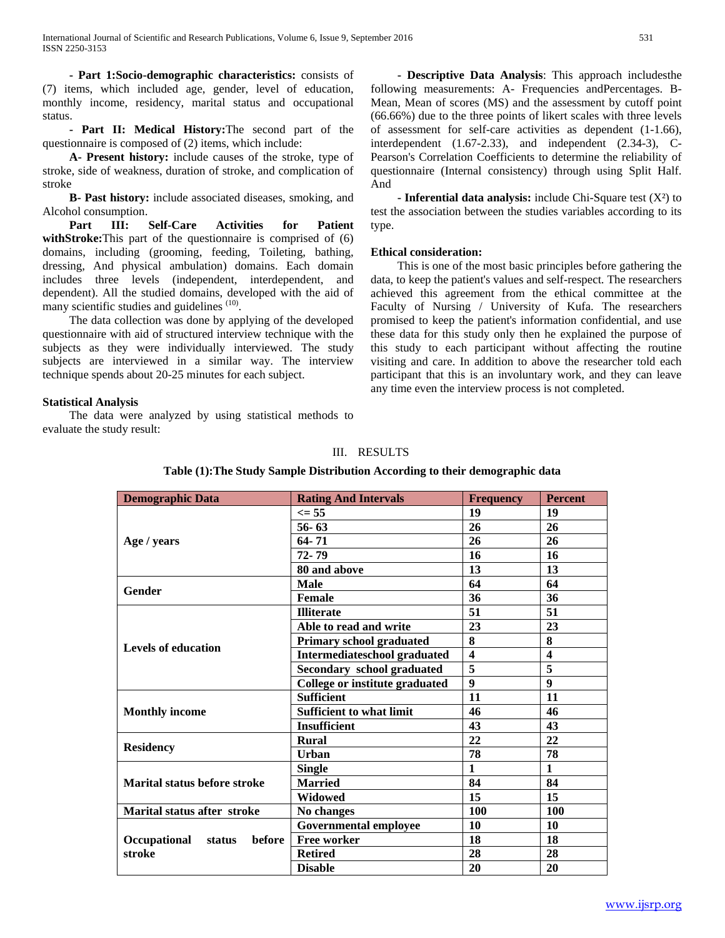**- Part 1:Socio-demographic characteristics:** consists of (7) items, which included age, gender, level of education, monthly income, residency, marital status and occupational status.

 **- Part II: Medical History:**The second part of the questionnaire is composed of (2) items, which include:

 **A- Present history:** include causes of the stroke, type of stroke, side of weakness, duration of stroke, and complication of stroke

 **B- Past history:** include associated diseases, smoking, and Alcohol consumption.

 **Part III: Self-Care Activities for Patient withStroke:**This part of the questionnaire is comprised of (6) domains, including (grooming, feeding, Toileting, bathing, dressing, And physical ambulation) domains. Each domain includes three levels (independent, interdependent, and dependent). All the studied domains, developed with the aid of many scientific studies and guidelines <sup>(10)</sup>.

 The data collection was done by applying of the developed questionnaire with aid of structured interview technique with the subjects as they were individually interviewed. The study subjects are interviewed in a similar way. The interview technique spends about 20-25 minutes for each subject.

## **Statistical Analysis**

 The data were analyzed by using statistical methods to evaluate the study result:

 **- Descriptive Data Analysis**: This approach includesthe following measurements: A- Frequencies andPercentages. B-Mean, Mean of scores (MS) and the assessment by cutoff point (66.66%) due to the three points of likert scales with three levels of assessment for self-care activities as dependent (1-1.66), interdependent (1.67-2.33), and independent (2.34-3), C-Pearson's Correlation Coefficients to determine the reliability of questionnaire (Internal consistency) through using Split Half. And

 **- Inferential data analysis:** include Chi-Square test (X²) to test the association between the studies variables according to its type.

## **Ethical consideration:**

 This is one of the most basic principles before gathering the data, to keep the patient's values and self-respect. The researchers achieved this agreement from the ethical committee at the Faculty of Nursing / University of Kufa. The researchers promised to keep the patient's information confidential, and use these data for this study only then he explained the purpose of this study to each participant without affecting the routine visiting and care. In addition to above the researcher told each participant that this is an involuntary work, and they can leave any time even the interview process is not completed.

## III. RESULTS

| <b>Demographic Data</b>                                     | <b>Rating And Intervals</b>     | <b>Frequency</b>        | <b>Percent</b>          |
|-------------------------------------------------------------|---------------------------------|-------------------------|-------------------------|
|                                                             | $\leq$ 55                       | 19                      | 19                      |
|                                                             | $56 - 63$                       | 26                      | 26                      |
| Age / years                                                 | 64-71                           | 26                      | 26                      |
|                                                             | 72-79                           | 16                      | 16                      |
|                                                             | 80 and above                    | 13                      | 13                      |
| <b>Gender</b>                                               | <b>Male</b>                     | 64                      | 64                      |
|                                                             | Female                          | 36                      | 36                      |
|                                                             | <b>Illiterate</b>               | 51                      | 51                      |
|                                                             | Able to read and write          | 23                      | 23                      |
|                                                             | <b>Primary school graduated</b> | 8                       | 8                       |
| <b>Levels of education</b>                                  | Intermediateschool graduated    | $\overline{\mathbf{4}}$ | $\overline{\mathbf{4}}$ |
|                                                             | Secondary school graduated      | $\overline{5}$          | $\overline{5}$          |
|                                                             |                                 | 9                       | 9                       |
|                                                             | <b>Sufficient</b>               | 11                      | 11                      |
| <b>Monthly income</b>                                       | <b>Sufficient to what limit</b> | 46                      | 46                      |
|                                                             | <b>Insufficient</b>             | 43                      | 43                      |
|                                                             | <b>Rural</b>                    | 22                      | 22                      |
| College or institute graduated<br><b>Residency</b><br>Urban |                                 | 78                      | 78                      |
|                                                             | <b>Single</b>                   | $\mathbf{1}$            | $\mathbf{1}$            |
| <b>Marital status before stroke</b>                         | <b>Married</b>                  | 84                      | 84                      |
|                                                             | <b>Widowed</b>                  | 15                      | 15                      |
| Marital status after stroke                                 | No changes                      | 100                     | 100                     |
|                                                             | <b>Governmental employee</b>    | 10                      | 10                      |
| before<br><b>Occupational</b><br>status<br>stroke           | <b>Free worker</b>              | 18                      | 18                      |
|                                                             | <b>Retired</b>                  | 28                      | 28                      |
|                                                             | <b>Disable</b>                  | 20                      | 20                      |
|                                                             |                                 |                         |                         |

## **Table (1):The Study Sample Distribution According to their demographic data**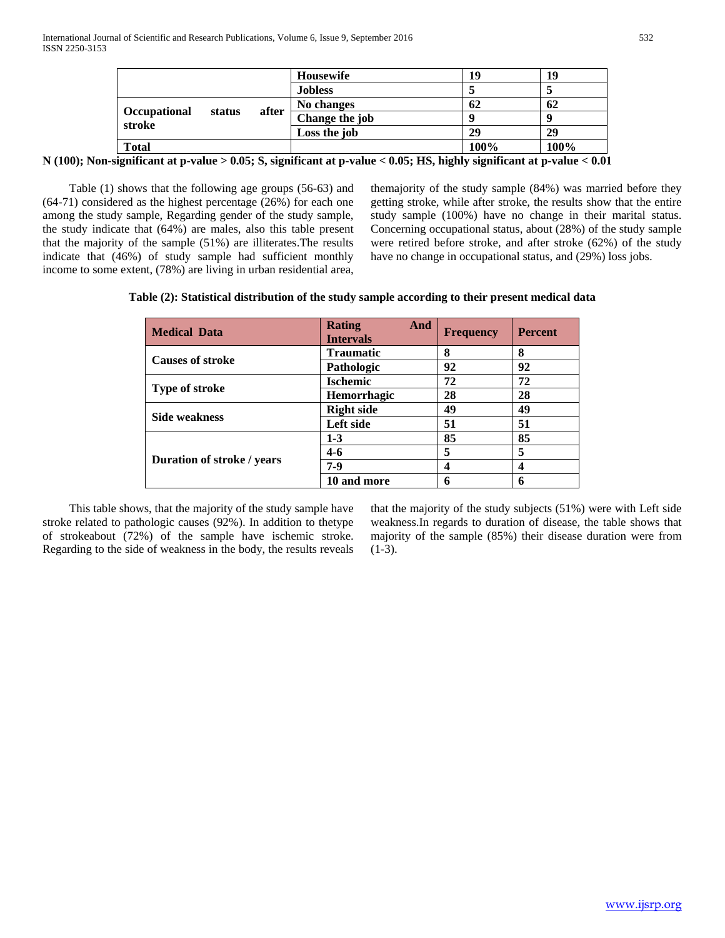|                                  | Housewife      | 19   | 19   |
|----------------------------------|----------------|------|------|
|                                  | <b>Jobless</b> |      |      |
| after                            | No changes     | 62   | 62   |
| Occupational<br>status<br>stroke | Change the job |      |      |
|                                  | Loss the job   | 29   | 29   |
| <b>Total</b>                     |                | 100% | 100% |

**N (100); Non-significant at p-value > 0.05; S, significant at p-value < 0.05; HS, highly significant at p-value < 0.01**

 Table (1) shows that the following age groups (56-63) and (64-71) considered as the highest percentage (26%) for each one among the study sample, Regarding gender of the study sample, the study indicate that (64%) are males, also this table present that the majority of the sample (51%) are illiterates.The results indicate that (46%) of study sample had sufficient monthly income to some extent, (78%) are living in urban residential area,

themajority of the study sample (84%) was married before they getting stroke, while after stroke, the results show that the entire study sample (100%) have no change in their marital status. Concerning occupational status, about (28%) of the study sample were retired before stroke, and after stroke (62%) of the study have no change in occupational status, and (29%) loss jobs.

| <b>Medical Data</b>        | <b>Rating</b><br>And<br><b>Intervals</b> | <b>Frequency</b> | <b>Percent</b> |
|----------------------------|------------------------------------------|------------------|----------------|
| <b>Causes of stroke</b>    | <b>Traumatic</b>                         | 8                | 8              |
|                            | Pathologic                               | 92               | 92             |
|                            | <b>Ischemic</b>                          | 72               | 72             |
| <b>Type of stroke</b>      | <b>Hemorrhagic</b>                       | 28               | 28             |
| <b>Side weakness</b>       | <b>Right side</b>                        | 49               | 49             |
|                            | Left side                                | 51               | 51             |
|                            | $1-3$                                    | 85               | 85             |
|                            | $4-6$                                    | 5                | 5              |
| Duration of stroke / years | $7-9$                                    | 4                | 4              |
|                            | 10 and more                              | 6                | 6              |

 This table shows, that the majority of the study sample have stroke related to pathologic causes (92%). In addition to thetype of strokeabout (72%) of the sample have ischemic stroke. Regarding to the side of weakness in the body, the results reveals

that the majority of the study subjects (51%) were with Left side weakness.In regards to duration of disease, the table shows that majority of the sample (85%) their disease duration were from  $(1-3)$ .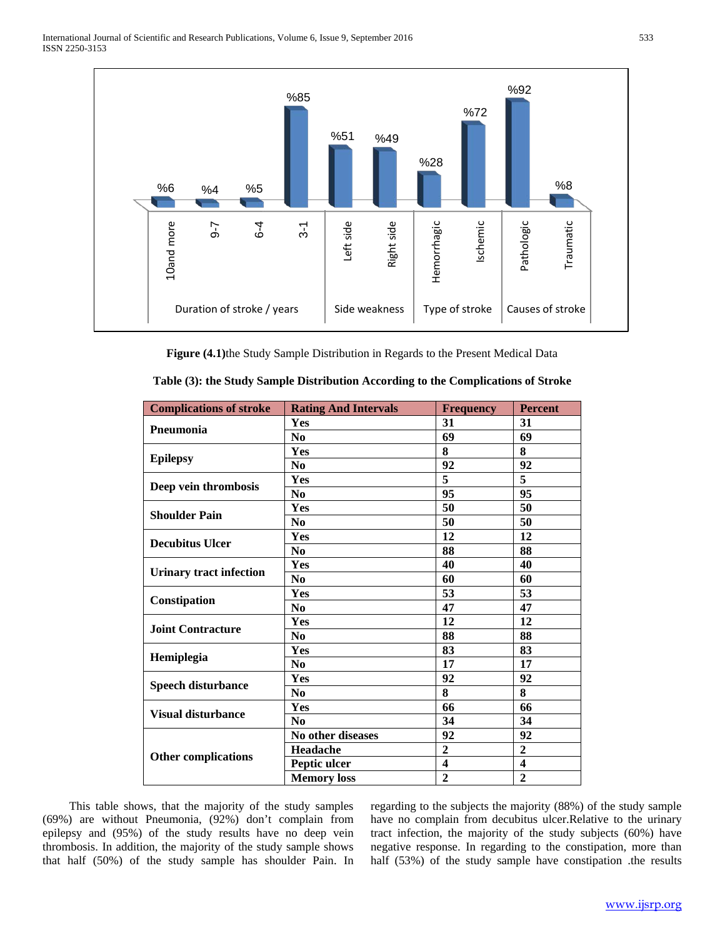

| 10and more<br>$-6$                                                                                                                                                      | $6 - 4$<br>$3-1$ | Left side                   | Right side    | Hemorrhagic             | Ischemic         | Pathologic              | Traumatic |                                                                                                                                                                                                                                                                    |  |
|-------------------------------------------------------------------------------------------------------------------------------------------------------------------------|------------------|-----------------------------|---------------|-------------------------|------------------|-------------------------|-----------|--------------------------------------------------------------------------------------------------------------------------------------------------------------------------------------------------------------------------------------------------------------------|--|
| Duration of stroke / years                                                                                                                                              |                  |                             | Side weakness | Type of stroke          |                  | Causes of stroke        |           |                                                                                                                                                                                                                                                                    |  |
| Figure (4.1) the Study Sample Distribution in Regards to the Present Medical Data<br>Table (3): the Study Sample Distribution According to the Complications of Stroke  |                  |                             |               |                         |                  |                         |           |                                                                                                                                                                                                                                                                    |  |
| <b>Complications of stroke</b>                                                                                                                                          |                  | <b>Rating And Intervals</b> |               |                         | <b>Frequency</b> | <b>Percent</b>          |           |                                                                                                                                                                                                                                                                    |  |
| Pneumonia                                                                                                                                                               | Yes              |                             |               | 31                      |                  | 31                      |           |                                                                                                                                                                                                                                                                    |  |
|                                                                                                                                                                         | N <sub>0</sub>   |                             |               | 69                      |                  | 69                      |           |                                                                                                                                                                                                                                                                    |  |
| <b>Epilepsy</b>                                                                                                                                                         | Yes              |                             |               | 8                       |                  | 8                       |           |                                                                                                                                                                                                                                                                    |  |
|                                                                                                                                                                         | $\bf No$         |                             |               | 92                      |                  | 92                      |           |                                                                                                                                                                                                                                                                    |  |
| Deep vein thrombosis                                                                                                                                                    | Yes              |                             |               | 5                       |                  | 5                       |           |                                                                                                                                                                                                                                                                    |  |
|                                                                                                                                                                         | N <sub>0</sub>   |                             |               | 95                      |                  | 95                      |           |                                                                                                                                                                                                                                                                    |  |
| <b>Shoulder Pain</b>                                                                                                                                                    | Yes              |                             |               | 50                      |                  | 50                      |           |                                                                                                                                                                                                                                                                    |  |
|                                                                                                                                                                         | N <sub>0</sub>   |                             |               | 50                      |                  | 50                      |           |                                                                                                                                                                                                                                                                    |  |
| <b>Decubitus Ulcer</b>                                                                                                                                                  | Yes              |                             |               | 12                      |                  | 12                      |           |                                                                                                                                                                                                                                                                    |  |
|                                                                                                                                                                         | $\bf No$         |                             |               | 88                      |                  | 88                      |           |                                                                                                                                                                                                                                                                    |  |
| <b>Urinary tract infection</b>                                                                                                                                          | Yes              |                             |               | 40                      |                  | 40                      |           |                                                                                                                                                                                                                                                                    |  |
|                                                                                                                                                                         | N <sub>0</sub>   |                             |               | 60                      |                  | 60                      |           |                                                                                                                                                                                                                                                                    |  |
| Constipation                                                                                                                                                            | Yes              |                             |               | 53                      |                  | 53                      |           |                                                                                                                                                                                                                                                                    |  |
|                                                                                                                                                                         | N <sub>0</sub>   |                             |               | 47                      |                  | 47                      |           |                                                                                                                                                                                                                                                                    |  |
| <b>Joint Contracture</b>                                                                                                                                                | Yes              |                             |               | 12                      |                  | 12                      |           |                                                                                                                                                                                                                                                                    |  |
|                                                                                                                                                                         | N <sub>0</sub>   |                             |               | 88                      |                  | 88                      |           |                                                                                                                                                                                                                                                                    |  |
| Hemiplegia                                                                                                                                                              | Yes              |                             |               | 83                      |                  | 83                      |           |                                                                                                                                                                                                                                                                    |  |
|                                                                                                                                                                         | N <sub>0</sub>   |                             |               | 17                      |                  | 17                      |           |                                                                                                                                                                                                                                                                    |  |
| <b>Speech disturbance</b>                                                                                                                                               | Yes              |                             |               | 92                      |                  | 92                      |           |                                                                                                                                                                                                                                                                    |  |
|                                                                                                                                                                         | N <sub>0</sub>   |                             |               | 8                       |                  | 8                       |           |                                                                                                                                                                                                                                                                    |  |
| <b>Visual disturbance</b>                                                                                                                                               | Yes              |                             |               | 66                      |                  | 66                      |           |                                                                                                                                                                                                                                                                    |  |
|                                                                                                                                                                         | N <sub>0</sub>   |                             |               | 34                      |                  | 34                      |           |                                                                                                                                                                                                                                                                    |  |
|                                                                                                                                                                         |                  | No other diseases           |               | 92                      |                  | 92                      |           |                                                                                                                                                                                                                                                                    |  |
| <b>Other complications</b>                                                                                                                                              | Headache         |                             |               | $\boldsymbol{2}$        |                  | $\overline{2}$          |           |                                                                                                                                                                                                                                                                    |  |
|                                                                                                                                                                         | Peptic ulcer     |                             |               | $\overline{\mathbf{4}}$ |                  | $\overline{\mathbf{4}}$ |           |                                                                                                                                                                                                                                                                    |  |
| ws, that the majority of the study samples                                                                                                                              |                  | <b>Memory</b> loss          |               | $\overline{2}$          |                  | $\overline{2}$          |           | regarding to the subjects the majority (88%) of the study sample                                                                                                                                                                                                   |  |
| Pneumonia, (92%) don't complain from<br>of the study results have no deep vein<br>ion, the majority of the study sample shows<br>the study sample has shoulder Pain. In |                  |                             |               |                         |                  |                         |           | have no complain from decubitus ulcer.Relative to the urinary<br>tract infection, the majority of the study subjects (60%) have<br>negative response. In regarding to the constipation, more than<br>half (53%) of the study sample have constipation .the results |  |

 This table shows, that the majority of the study samples (69%) are without Pneumonia, (92%) don't complain from epilepsy and (95%) of the study results have no deep vein thrombosis. In addition, the majority of the study sample shows that half (50%) of the study sample has shoulder Pain. In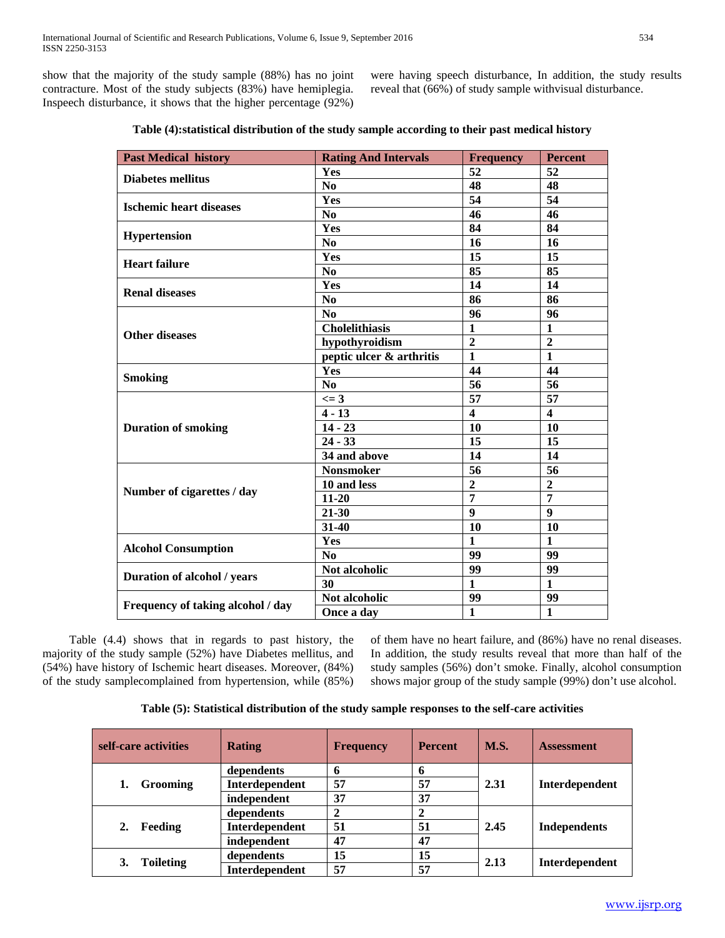show that the majority of the study sample (88%) has no joint contracture. Most of the study subjects (83%) have hemiplegia. Inspeech disturbance, it shows that the higher percentage (92%) were having speech disturbance, In addition, the study results reveal that (66%) of study sample withvisual disturbance.

| <b>Past Medical history</b>       | <b>Rating And Intervals</b> | <b>Frequency</b>        | <b>Percent</b>          |
|-----------------------------------|-----------------------------|-------------------------|-------------------------|
| <b>Diabetes mellitus</b>          | Yes                         | 52                      | 52                      |
|                                   | N <sub>0</sub>              | 48                      | 48                      |
| <b>Ischemic heart diseases</b>    | Yes                         | 54                      | 54                      |
|                                   | N <sub>0</sub>              | 46                      | 46                      |
|                                   | Yes                         | 84                      | 84                      |
| <b>Hypertension</b>               | N <sub>0</sub>              | 16                      | 16                      |
| <b>Heart failure</b>              | Yes                         | 15                      | 15                      |
|                                   | N <sub>0</sub>              | 85                      | 85                      |
|                                   | Yes                         | 14                      | 14                      |
| <b>Renal diseases</b>             | N <sub>0</sub>              | 86                      | 86                      |
|                                   | N <sub>0</sub>              | 96                      | 96                      |
|                                   | <b>Cholelithiasis</b>       | $\mathbf{1}$            | 1                       |
| <b>Other diseases</b>             | hypothyroidism              | $\overline{2}$          | $\overline{2}$          |
|                                   | peptic ulcer & arthritis    | $\mathbf{1}$            | $\mathbf{1}$            |
|                                   | Yes                         | 44                      | 44                      |
| <b>Smoking</b>                    | N <sub>0</sub>              | 56                      | 56                      |
|                                   | $\leq$ 3                    | 57                      | 57                      |
|                                   | $4 - 13$                    | $\overline{\mathbf{4}}$ | $\overline{\mathbf{4}}$ |
| <b>Duration of smoking</b>        | $14 - 23$                   | 10                      | 10                      |
|                                   | $24 - 33$                   | 15                      | 15                      |
|                                   | 34 and above                | 14                      | 14                      |
|                                   | <b>Nonsmoker</b>            | 56                      | 56                      |
|                                   | 10 and less                 | $\overline{2}$          | $\overline{2}$          |
| Number of cigarettes / day        | 11-20                       | $\overline{7}$          | $\overline{7}$          |
|                                   | 21-30                       | $\boldsymbol{9}$        | 9                       |
|                                   | 31-40                       | 10                      | 10                      |
|                                   | Yes                         | $\mathbf{1}$            | 1                       |
| <b>Alcohol Consumption</b>        | N <sub>0</sub>              | 99                      | 99                      |
|                                   | Not alcoholic               | 99                      | 99                      |
| Duration of alcohol / years       | 30                          | $\mathbf{1}$            | $\mathbf{1}$            |
|                                   | Not alcoholic               | 99                      | 99                      |
| Frequency of taking alcohol / day | Once a day                  | 1                       | 1                       |

| Table (4): statistical distribution of the study sample according to their past medical history |  |
|-------------------------------------------------------------------------------------------------|--|
|                                                                                                 |  |

 Table (4.4) shows that in regards to past history, the majority of the study sample (52%) have Diabetes mellitus, and (54%) have history of Ischemic heart diseases. Moreover, (84%) of the study samplecomplained from hypertension, while (85%)

of them have no heart failure, and (86%) have no renal diseases. In addition, the study results reveal that more than half of the study samples (56%) don't smoke. Finally, alcohol consumption shows major group of the study sample (99%) don't use alcohol.

| self-care activities   | <b>Rating</b>  | <b>Frequency</b> | <b>Percent</b> | <b>M.S.</b> | <b>Assessment</b>   |
|------------------------|----------------|------------------|----------------|-------------|---------------------|
|                        | dependents     |                  | n              |             |                     |
| <b>Grooming</b>        | Interdependent | 57               | 57             | 2.31        | Interdependent      |
|                        | independent    | 37               | 37             |             |                     |
|                        | dependents     |                  |                |             | <b>Independents</b> |
| 2.<br>Feeding          | Interdependent | 51               | 51             | 2.45        |                     |
|                        | independent    | 47               | 47             |             |                     |
| <b>Toileting</b><br>3. | dependents     | 15               | 15             | 2.13        | Interdependent      |
|                        | Interdependent | 57               | 57             |             |                     |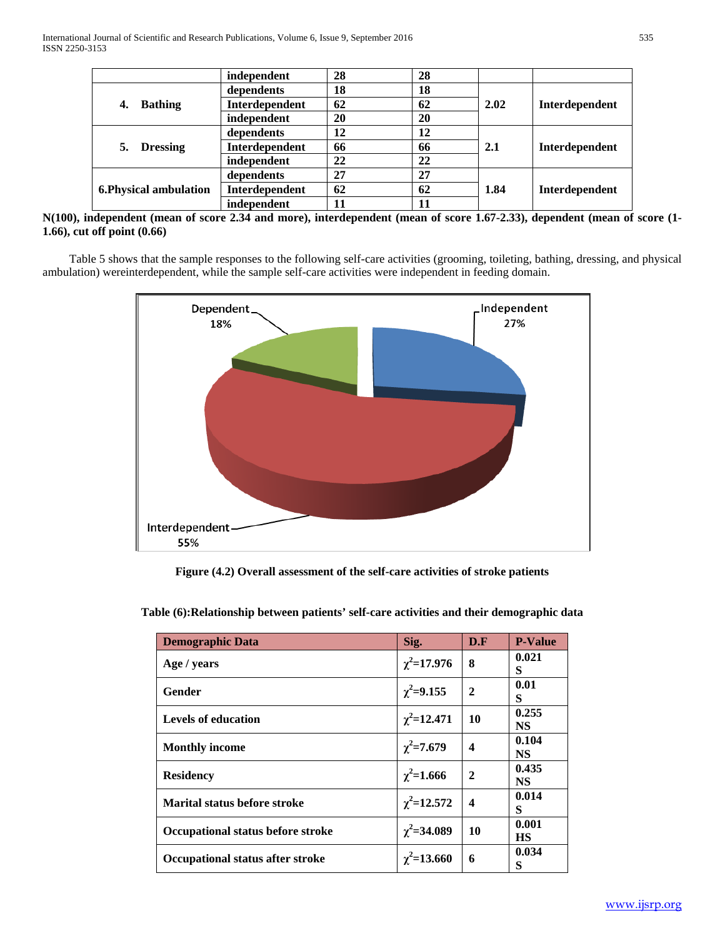|                        | independent    | 28 | 28 |      |                |
|------------------------|----------------|----|----|------|----------------|
|                        | dependents     | 18 | 18 |      |                |
| <b>Bathing</b><br>4.   | Interdependent | 62 | 62 | 2.02 | Interdependent |
|                        | independent    | 20 | 20 |      |                |
|                        | dependents     | 12 | 12 |      |                |
| <b>Dressing</b><br>5.  | Interdependent | 66 | 66 | 2.1  | Interdependent |
|                        | independent    | 22 | 22 |      |                |
|                        | dependents     | 27 | 27 |      |                |
| 6. Physical ambulation | Interdependent | 62 | 62 | 1.84 | Interdependent |
|                        | independent    | 11 | 11 |      |                |

**N(100), independent (mean of score 2.34 and more), interdependent (mean of score 1.67-2.33), dependent (mean of score (1- 1.66), cut off point (0.66)**

 Table 5 shows that the sample responses to the following self-care activities (grooming, toileting, bathing, dressing, and physical ambulation) wereinterdependent, while the sample self-care activities were independent in feeding domain.



**Figure (4.2) Overall assessment of the self-care activities of stroke patients**

**Table (6):Relationship between patients' self-care activities and their demographic data**

| <b>Demographic Data</b>           | Sig.             | D.F                     | <b>P-Value</b>     |
|-----------------------------------|------------------|-------------------------|--------------------|
| Age / years                       | $\chi^2$ =17.976 | 8                       | 0.021<br>S         |
| Gender                            | $\chi^2$ =9.155  | $\overline{2}$          | 0.01<br>S          |
| <b>Levels of education</b>        | $\chi^2$ =12.471 | 10                      | 0.255<br>NS        |
| <b>Monthly income</b>             | $\chi^2$ =7.679  | $\boldsymbol{4}$        | 0.104<br>NS        |
| <b>Residency</b>                  | $\chi^2$ =1.666  | $\mathbf{2}$            | 0.435<br>NS        |
| Marital status before stroke      | $\chi^2$ =12.572 | $\overline{\mathbf{4}}$ | 0.014<br>S         |
| Occupational status before stroke | $\chi^2$ =34.089 | 10                      | 0.001<br><b>HS</b> |
| Occupational status after stroke  | $\chi^2$ =13.660 | 6                       | 0.034<br>S         |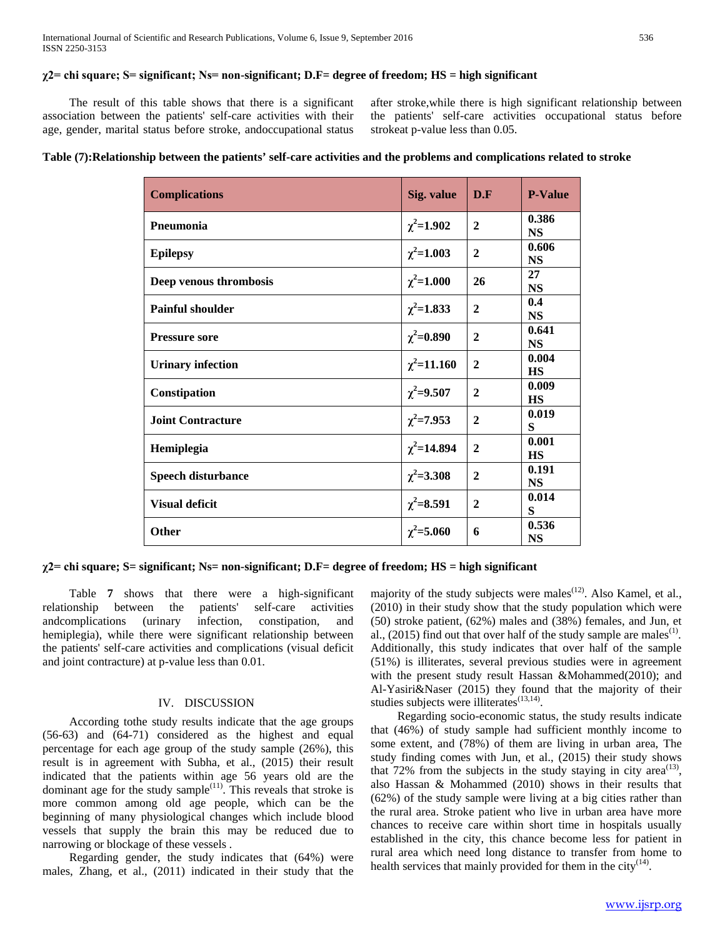## **χ2= chi square; S= significant; Ns= non-significant; D.F= degree of freedom; HS = high significant**

 The result of this table shows that there is a significant association between the patients' self-care activities with their age, gender, marital status before stroke, andoccupational status after stroke,while there is high significant relationship between the patients' self-care activities occupational status before strokeat p-value less than 0.05.

**Table (7):Relationship between the patients' self-care activities and the problems and complications related to stroke**

| <b>Complications</b>      | Sig. value       | D.F            | <b>P-Value</b>     |
|---------------------------|------------------|----------------|--------------------|
| Pneumonia                 | $\chi^2$ =1.902  | $\mathbf{2}$   | 0.386<br><b>NS</b> |
| <b>Epilepsy</b>           | $\chi^2$ =1.003  | $\mathbf{2}$   | 0.606<br><b>NS</b> |
| Deep venous thrombosis    | $\chi^2$ =1.000  | 26             | 27<br><b>NS</b>    |
| <b>Painful shoulder</b>   | $\chi^2$ =1.833  | $\overline{2}$ | 0.4<br><b>NS</b>   |
| <b>Pressure sore</b>      | $\chi^2$ =0.890  | $\overline{2}$ | 0.641<br><b>NS</b> |
| <b>Urinary infection</b>  | $\chi^2$ =11.160 | $\mathbf{2}$   | 0.004<br><b>HS</b> |
| Constipation              | $\chi^2 = 9.507$ | $\overline{2}$ | 0.009<br><b>HS</b> |
| <b>Joint Contracture</b>  | $\chi^2$ =7.953  | $\mathbf{2}$   | 0.019<br>S         |
| Hemiplegia                | $\chi^2$ =14.894 | $\mathbf{2}$   | 0.001<br><b>HS</b> |
| <b>Speech disturbance</b> | $\chi^2$ =3.308  | $\overline{2}$ | 0.191<br><b>NS</b> |
| <b>Visual deficit</b>     | $\chi^2 = 8.591$ | $\mathbf{2}$   | 0.014<br>S         |
| Other                     | $\chi^2$ =5.060  | 6              | 0.536<br><b>NS</b> |

## **χ2= chi square; S= significant; Ns= non-significant; D.F= degree of freedom; HS = high significant**

 Table **7** shows that there were a high-significant relationship between the patients' self-care activities andcomplications (urinary infection, constipation, and hemiplegia), while there were significant relationship between the patients' self-care activities and complications (visual deficit and joint contracture) at p-value less than 0.01.

#### IV. DISCUSSION

 According tothe study results indicate that the age groups (56-63) and (64-71) considered as the highest and equal percentage for each age group of the study sample (26%), this result is in agreement with Subha, et al., (2015) their result indicated that the patients within age 56 years old are the dominant age for the study sample<sup>(11)</sup>. This reveals that stroke is more common among old age people, which can be the beginning of many physiological changes which include blood vessels that supply the brain this may be reduced due to narrowing or blockage of these vessels .

 Regarding gender, the study indicates that (64%) were males, Zhang, et al., (2011) indicated in their study that the

majority of the study subjects were males<sup>(12)</sup>. Also Kamel, et al., (2010) in their study show that the study population which were (50) stroke patient, (62%) males and (38%) females, and Jun, et al., (2015) find out that over half of the study sample are males<sup>(1)</sup>. Additionally, this study indicates that over half of the sample (51%) is illiterates, several previous studies were in agreement with the present study result Hassan &Mohammed(2010); and Al-Yasiri&Naser (2015) they found that the majority of their studies subjects were illiterates<sup>(13,14)</sup>.

 Regarding socio-economic status, the study results indicate that (46%) of study sample had sufficient monthly income to some extent, and (78%) of them are living in urban area, The study finding comes with Jun, et al., (2015) their study shows that  $72\%$  from the subjects in the study staying in city area<sup>(13)</sup>, also Hassan & Mohammed (2010) shows in their results that (62%) of the study sample were living at a big cities rather than the rural area. Stroke patient who live in urban area have more chances to receive care within short time in hospitals usually established in the city, this chance become less for patient in rural area which need long distance to transfer from home to health services that mainly provided for them in the city<sup>(14)</sup>.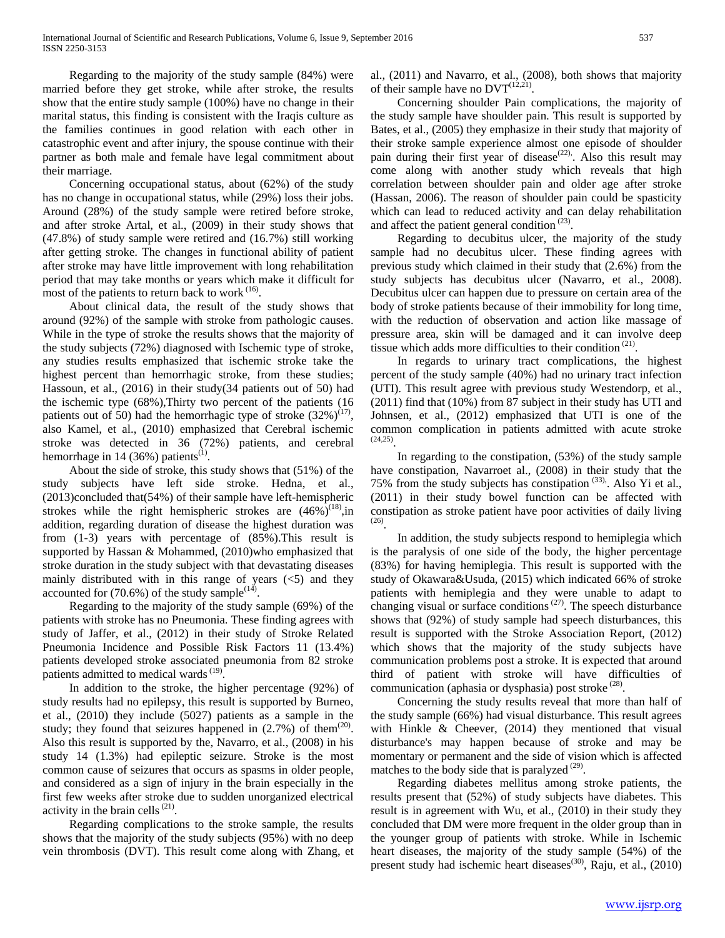Regarding to the majority of the study sample (84%) were married before they get stroke, while after stroke, the results show that the entire study sample (100%) have no change in their marital status, this finding is consistent with the Iraqis culture as the families continues in good relation with each other in catastrophic event and after injury, the spouse continue with their partner as both male and female have legal commitment about their marriage.

 Concerning occupational status, about (62%) of the study has no change in occupational status, while (29%) loss their jobs. Around (28%) of the study sample were retired before stroke, and after stroke Artal, et al., (2009) in their study shows that (47.8%) of study sample were retired and (16.7%) still working after getting stroke. The changes in functional ability of patient after stroke may have little improvement with long rehabilitation period that may take months or years which make it difficult for most of the patients to return back to work <sup>(16)</sup>.

 About clinical data, the result of the study shows that around (92%) of the sample with stroke from pathologic causes. While in the type of stroke the results shows that the majority of the study subjects (72%) diagnosed with Ischemic type of stroke, any studies results emphasized that ischemic stroke take the highest percent than hemorrhagic stroke, from these studies; Hassoun, et al., (2016) in their study(34 patients out of 50) had the ischemic type (68%),Thirty two percent of the patients (16 patients out of 50) had the hemorrhagic type of stroke  $(32\%)^{(17)}$ , also Kamel, et al., (2010) emphasized that Cerebral ischemic stroke was detected in 36 (72%) patients, and cerebral hemorrhage in 14 (36%) patients<sup>(1)</sup>.

 About the side of stroke, this study shows that (51%) of the study subjects have left side stroke. Hedna, et al., (2013)concluded that(54%) of their sample have left-hemispheric strokes while the right hemispheric strokes are  $(46\%)^{(18)}$ , in addition, regarding duration of disease the highest duration was from (1-3) years with percentage of (85%).This result is supported by Hassan & Mohammed, (2010)who emphasized that stroke duration in the study subject with that devastating diseases mainly distributed with in this range of years  $\left(\langle 5 \rangle \right)$  and they accounted for  $(70.6\%)$  of the study sample<sup> $(14)$ </sup>.

 Regarding to the majority of the study sample (69%) of the patients with stroke has no Pneumonia. These finding agrees with study of Jaffer, et al., (2012) in their study of Stroke Related Pneumonia Incidence and Possible Risk Factors 11 (13.4%) patients developed stroke associated pneumonia from 82 stroke patients admitted to medical wards<sup>(19)</sup>.

 In addition to the stroke, the higher percentage (92%) of study results had no epilepsy, this result is supported by Burneo, et al., (2010) they include (5027) patients as a sample in the study; they found that seizures happened in  $(2.7%)$  of them<sup> $(20)$ </sup>. Also this result is supported by the, Navarro, et al., (2008) in his study 14 (1.3%) had epileptic seizure. Stroke is the most common cause of seizures that occurs as spasms in older people, and considered as a sign of injury in the brain especially in the first few weeks after stroke due to sudden unorganized electrical activity in the brain cells<sup>(21)</sup>.

 Regarding complications to the stroke sample, the results shows that the majority of the study subjects (95%) with no deep vein thrombosis (DVT). This result come along with Zhang, et al., (2011) and Navarro, et al., (2008), both shows that majority of their sample have no  $DVT^{(12,21)}$ .

 Concerning shoulder Pain complications, the majority of the study sample have shoulder pain. This result is supported by Bates, et al., (2005) they emphasize in their study that majority of their stroke sample experience almost one episode of shoulder pain during their first year of disease<sup>(22)</sup>. Also this result may come along with another study which reveals that high correlation between shoulder pain and older age after stroke (Hassan, 2006). The reason of shoulder pain could be spasticity which can lead to reduced activity and can delay rehabilitation and affect the patient general condition<sup>(23)</sup>.

 Regarding to decubitus ulcer, the majority of the study sample had no decubitus ulcer. These finding agrees with previous study which claimed in their study that (2.6%) from the study subjects has decubitus ulcer (Navarro, et al., 2008). Decubitus ulcer can happen due to pressure on certain area of the body of stroke patients because of their immobility for long time, with the reduction of observation and action like massage of pressure area, skin will be damaged and it can involve deep tissue which adds more difficulties to their condition<sup>(21)</sup>.

 In regards to urinary tract complications, the highest percent of the study sample (40%) had no urinary tract infection (UTI). This result agree with previous study Westendorp, et al., (2011) find that (10%) from 87 subject in their study has UTI and Johnsen, et al., (2012) emphasized that UTI is one of the common complication in patients admitted with acute stroke  $(24,25)$ <sup>2</sup>.

 In regarding to the constipation, (53%) of the study sample have constipation, Navarroet al., (2008) in their study that the 75% from the study subjects has constipation<sup>(33)</sup>. Also Yi et al., (2011) in their study bowel function can be affected with constipation as stroke patient have poor activities of daily living  $(26)$ <sup> $\cdot$ </sup>

 In addition, the study subjects respond to hemiplegia which is the paralysis of one side of the body, the higher percentage (83%) for having hemiplegia. This result is supported with the study of Okawara&Usuda, (2015) which indicated 66% of stroke patients with hemiplegia and they were unable to adapt to changing visual or surface conditions<sup>(27)</sup>. The speech disturbance shows that (92%) of study sample had speech disturbances, this result is supported with the Stroke Association Report, (2012) which shows that the majority of the study subjects have communication problems post a stroke. It is expected that around third of patient with stroke will have difficulties of communication (aphasia or dysphasia) post stroke<sup>(28)</sup>.

 Concerning the study results reveal that more than half of the study sample (66%) had visual disturbance. This result agrees with Hinkle & Cheever, (2014) they mentioned that visual disturbance's may happen because of stroke and may be momentary or permanent and the side of vision which is affected matches to the body side that is paralyzed<sup>(29)</sup>.

 Regarding diabetes mellitus among stroke patients, the results present that (52%) of study subjects have diabetes. This result is in agreement with Wu, et al., (2010) in their study they concluded that DM were more frequent in the older group than in the younger group of patients with stroke. While in Ischemic heart diseases, the majority of the study sample (54%) of the present study had ischemic heart diseases<sup>(30)</sup>, Raju, et al., (2010)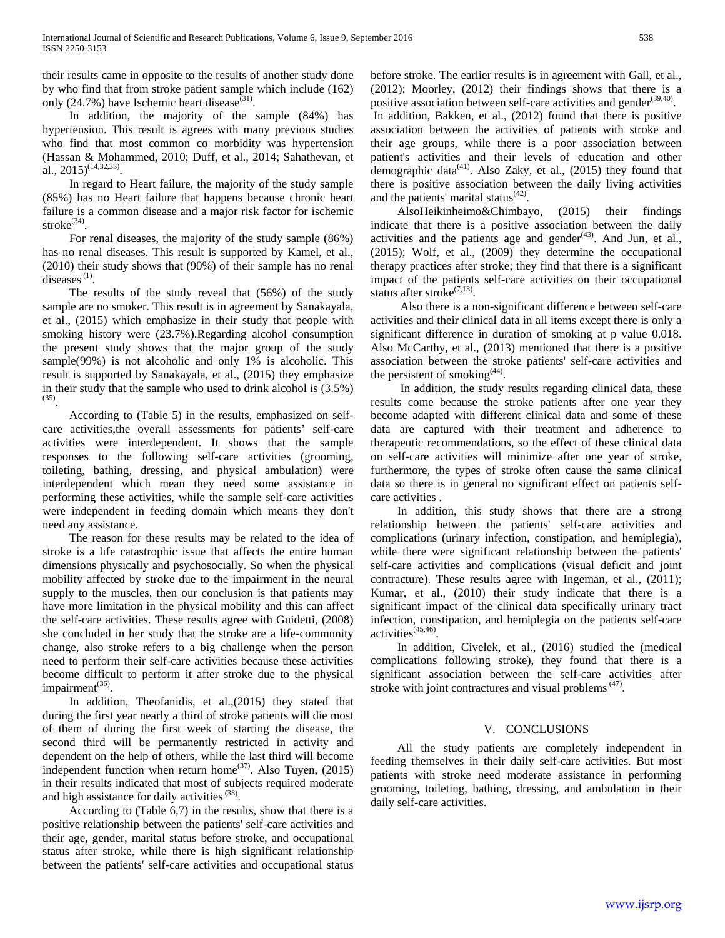their results came in opposite to the results of another study done by who find that from stroke patient sample which include (162) only (24.7%) have Ischemic heart disease<sup>(31)</sup>.

 In addition, the majority of the sample (84%) has hypertension. This result is agrees with many previous studies who find that most common co morbidity was hypertension (Hassan & Mohammed, 2010; Duff, et al., 2014; Sahathevan, et al., 2015)<sup>(14,32,33)</sup>.

 In regard to Heart failure, the majority of the study sample (85%) has no Heart failure that happens because chronic heart failure is a common disease and a major risk factor for ischemic stroke<sup>(34)</sup>.

 For renal diseases, the majority of the study sample (86%) has no renal diseases. This result is supported by Kamel, et al., (2010) their study shows that (90%) of their sample has no renal diseases<sup>(1)</sup>.

 The results of the study reveal that (56%) of the study sample are no smoker. This result is in agreement by Sanakayala, et al., (2015) which emphasize in their study that people with smoking history were (23.7%).Regarding alcohol consumption the present study shows that the major group of the study sample(99%) is not alcoholic and only 1% is alcoholic. This result is supported by Sanakayala, et al., (2015) they emphasize in their study that the sample who used to drink alcohol is  $(3.5\%)$  $^{(35)}$ .

 According to (Table 5) in the results, emphasized on selfcare activities,the overall assessments for patients' self-care activities were interdependent. It shows that the sample responses to the following self-care activities (grooming, toileting, bathing, dressing, and physical ambulation) were interdependent which mean they need some assistance in performing these activities, while the sample self-care activities were independent in feeding domain which means they don't need any assistance.

 The reason for these results may be related to the idea of stroke is a life catastrophic issue that affects the entire human dimensions physically and psychosocially. So when the physical mobility affected by stroke due to the impairment in the neural supply to the muscles, then our conclusion is that patients may have more limitation in the physical mobility and this can affect the self-care activities. These results agree with Guidetti, (2008) she concluded in her study that the stroke are a life-community change, also stroke refers to a big challenge when the person need to perform their self-care activities because these activities become difficult to perform it after stroke due to the physical impairment<sup>(36)</sup>.

 In addition, Theofanidis, et al.,(2015) they stated that during the first year nearly a third of stroke patients will die most of them of during the first week of starting the disease, the second third will be permanently restricted in activity and dependent on the help of others, while the last third will become independent function when return home<sup>(37)</sup>. Also Tuyen, (2015) in their results indicated that most of subjects required moderate and high assistance for daily activities<sup>(38)</sup>.

 According to (Table 6,7) in the results, show that there is a positive relationship between the patients' self-care activities and their age, gender, marital status before stroke, and occupational status after stroke, while there is high significant relationship between the patients' self-care activities and occupational status before stroke. The earlier results is in agreement with Gall, et al., (2012); Moorley, (2012) their findings shows that there is a positive association between self-care activities and gender<sup>(39,40)</sup>.

In addition, Bakken, et al., (2012) found that there is positive association between the activities of patients with stroke and their age groups, while there is a poor association between patient's activities and their levels of education and other demographic data<sup>(41)</sup>. Also Zaky, et al., (2015) they found that there is positive association between the daily living activities and the patients' marital status<sup>(42)</sup>.

 AlsoHeikinheimo&Chimbayo, (2015) their findings indicate that there is a positive association between the daily activities and the patients age and gender<sup>(43)</sup>. And Jun, et al., (2015); Wolf, et al., (2009) they determine the occupational therapy practices after stroke; they find that there is a significant impact of the patients self-care activities on their occupational status after stroke<sup>(7,13)</sup>.

 Also there is a non-significant difference between self-care activities and their clinical data in all items except there is only a significant difference in duration of smoking at p value 0.018. Also McCarthy, et al., (2013) mentioned that there is a positive association between the stroke patients' self-care activities and the persistent of smoking<sup>(44)</sup>.

 In addition, the study results regarding clinical data, these results come because the stroke patients after one year they become adapted with different clinical data and some of these data are captured with their treatment and adherence to therapeutic recommendations, so the effect of these clinical data on self-care activities will minimize after one year of stroke, furthermore, the types of stroke often cause the same clinical data so there is in general no significant effect on patients selfcare activities .

 In addition, this study shows that there are a strong relationship between the patients' self-care activities and complications (urinary infection, constipation, and hemiplegia), while there were significant relationship between the patients' self-care activities and complications (visual deficit and joint contracture). These results agree with Ingeman, et al., (2011); Kumar, et al., (2010) their study indicate that there is a significant impact of the clinical data specifically urinary tract infection, constipation, and hemiplegia on the patients self-care activities<sup>(45,46)</sup>.

 In addition, Civelek, et al., (2016) studied the (medical complications following stroke), they found that there is a significant association between the self-care activities after stroke with joint contractures and visual problems<sup>(47)</sup>.

## V. CONCLUSIONS

 All the study patients are completely independent in feeding themselves in their daily self-care activities. But most patients with stroke need moderate assistance in performing grooming, toileting, bathing, dressing, and ambulation in their daily self-care activities.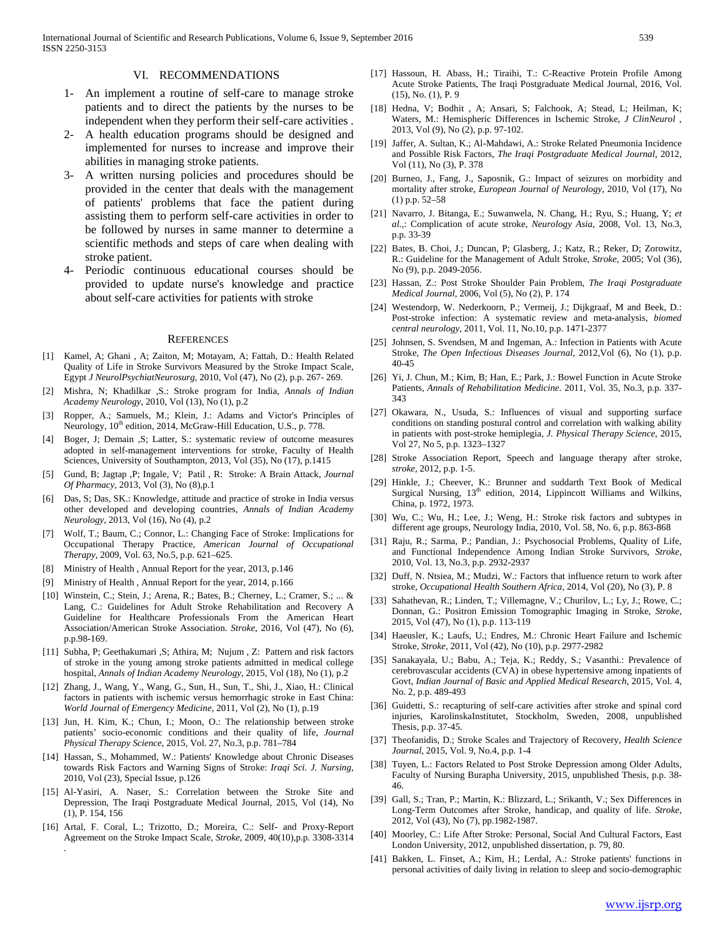#### VI. RECOMMENDATIONS

- 1- An implement a routine of self-care to manage stroke patients and to direct the patients by the nurses to be independent when they perform their self-care activities .
- 2- A health education programs should be designed and implemented for nurses to increase and improve their abilities in managing stroke patients.
- 3- A written nursing policies and procedures should be provided in the center that deals with the management of patients' problems that face the patient during assisting them to perform self-care activities in order to be followed by nurses in same manner to determine a scientific methods and steps of care when dealing with stroke patient.
- 4- Periodic continuous educational courses should be provided to update nurse's knowledge and practice about self-care activities for patients with stroke

#### **REFERENCES**

- [1] Kamel, A; Ghani , A; Zaiton, M; Motayam, A; Fattah, D.: Health Related Quality of Life in Stroke Survivors Measured by the Stroke Impact Scale, Egypt *J NeurolPsychiatNeurosurg,* 2010, Vol (47), No (2), p.p. 267- 269.
- [2] Mishra, N; Khadilkar ,S.: Stroke program for India, *Annals of Indian Academy Neurology*, 2010, Vol (13), No (1), p.2
- [3] Ropper, A.; Samuels, M.; Klein, J.: Adams and Victor's Principles of Neurology, 10<sup>th</sup> edition, 2014, McGraw-Hill Education, U.S., p. 778.
- [4] Boger, J; Demain ,S; Latter, S.: systematic review of outcome measures adopted in self-management interventions for stroke, Faculty of Health Sciences, University of Southampton, 2013, Vol (35), No (17), p.1415
- [5] Gund, B; Jagtap ,P; Ingale, V; Patil , R: Stroke: A Brain Attack, *Journal Of Pharmacy,* 2013, Vol (3), No (8),p.1
- [6] Das, S; Das, SK.: Knowledge, attitude and practice of stroke in India versus other developed and developing countries, *Annals of Indian Academy Neurology*, 2013, Vol (16), No (4), p.2
- [7] Wolf, T.; Baum, C.; Connor, L*.*: Changing Face of Stroke: Implications for Occupational Therapy Practice, *American Journal of Occupational Therapy*, 2009, Vol. 63, No.5, p.p. 621–625.
- [8] Ministry of Health , Annual Report for the year, 2013, p.146
- [9] Ministry of Health , Annual Report for the year, 2014, p.166
- [10] Winstein, C.; Stein, J.; Arena, R.; Bates, B.; Cherney, L.; Cramer, S.; ... & Lang, C.: Guidelines for Adult Stroke Rehabilitation and Recovery A Guideline for Healthcare Professionals From the American Heart Association/American Stroke Association. *Stroke*, 2016, Vol (47), No (6), p.p.98-169.
- [11] Subha, P; Geethakumari ,S; Athira, M; Nujum , Z: Pattern and risk factors of stroke in the young among stroke patients admitted in medical college hospital, *Annals of Indian Academy Neurology*, 2015, Vol (18), No (1), p.2
- [12] Zhang, J., Wang, Y., Wang, G., Sun, H., Sun, T., Shi, J., Xiao, H.: Clinical factors in patients with ischemic versus hemorrhagic stroke in East China: *World Journal of Emergency Medicine*, 2011, Vol (2), No (1), p.19
- [13] Jun, H. Kim, K.; Chun, I.; Moon, O.: The relationship between stroke patients' socio-economic conditions and their quality of life, *Journal Physical Therapy Science*, 2015, Vol. 27, No.3, p.p. 781–784
- [14] Hassan, S., Mohammed, W.: Patients' Knowledge about Chronic Diseases towards Risk Factors and Warning Signs of Stroke: *Iraqi Sci. J. Nursing*, 2010, Vol (23), Special Issue, p.126
- [15] Al-Yasiri, A. Naser, S.: Correlation between the Stroke Site and Depression, The Iraqi Postgraduate Medical Journal, 2015, Vol (14), No (1), P. 154, 156
- [16] Artal, F. Coral, L.; Trizotto, D.; Moreira, C.: Self- and Proxy-Report Agreement on the Stroke Impact Scale, *Stroke*, 2009, 40(10),p.p. 3308-3314

.

- [17] Hassoun, H. Abass, H.; Tiraihi, T.: C-Reactive Protein Profile Among Acute Stroke Patients, The Iraqi Postgraduate Medical Journal, 2016, Vol. (15), No. (1), P. 9
- [18] Hedna, V; Bodhit , A; Ansari, S; Falchook, A; Stead, L; Heilman, K; Waters, M.: Hemispheric Differences in Ischemic Stroke, *J ClinNeurol* , 2013, Vol (9), No (2), p.p. 97-102.
- [19] Jaffer, A. Sultan, K.; Al-Mahdawi, A.: Stroke Related Pneumonia Incidence and Possible Risk Factors, *The Iraqi Postgraduate Medical Journal*, 2012, Vol (11), No (3), P. 378
- [20] Burneo, J., Fang, J., Saposnik, G.: Impact of seizures on morbidity and mortality after stroke, *European Journal of Neurology*, 2010, Vol (17), No (1) p.p. 52–58
- [21] Navarro, J. Bitanga, E.; Suwanwela, N. Chang, H.; Ryu, S.; Huang, Y; *et al.,*: Complication of acute stroke, *Neurology Asia*, 2008, Vol. 13, No.3, p.p. 33-39
- [22] Bates, B. Choi, J.; Duncan, P; Glasberg, J.; Katz, R.; Reker, D; Zorowitz, R.: Guideline for the Management of Adult Stroke, *Stroke*, 2005; Vol (36), No (9), p.p. 2049-2056.
- [23] Hassan, Z.: Post Stroke Shoulder Pain Problem, *The Iraqi Postgraduate Medical Journal*, 2006, Vol (5), No (2), P. 174
- [24] Westendorp, W. Nederkoorn, P.; Vermeij, J.; Dijkgraaf, M and Beek, D.: Post-stroke infection: A systematic review and meta-analysis, *biomed central neurology*, 2011, Vol. 11, No.10, p.p. 1471-2377
- [25] Johnsen, S. Svendsen, M and Ingeman, A.: Infection in Patients with Acute Stroke, *The Open Infectious Diseases Journal*, 2012,Vol (6), No (1), p.p. 40-45
- [26] Yi, J. Chun, M.; Kim, B; Han, E.; Park, J.: Bowel Function in Acute Stroke Patients, *Annals of Rehabilitation Medicine*. 2011, Vol. 35, No.3, p.p. 337- 343
- [27] Okawara, N., Usuda, S.: Influences of visual and supporting surface conditions on standing postural control and correlation with walking ability in patients with post-stroke hemiplegia, *J. Physical Therapy Science*, 2015, Vol 27, No 5, p.p. 1323–1327
- [28] Stroke Association Report, Speech and language therapy after stroke, *stroke*, 2012, p.p. 1-5.
- [29] Hinkle, J.; Cheever, K.: Brunner and suddarth Text Book of Medical Surgical Nursing, 13<sup>th</sup> edition, 2014, Lippincott Williams and Wilkins, China, p. 1972, 1973.
- [30] Wu, C.; Wu, H.; Lee, J.; Weng, H.: Stroke risk factors and subtypes in different age groups, Neurology India, 2010, Vol. 58, No. 6, p.p. 863-868
- [31] Raju, R.; Sarma, P.; Pandian, J*.*: Psychosocial Problems, Quality of Life, and Functional Independence Among Indian Stroke Survivors, *Stroke*, 2010, Vol. 13, No.3, p.p. 2932-2937
- [32] Duff, N. Ntsiea, M.; Mudzi, W.: Factors that influence return to work after stroke, *Occupational Health Southern Africa*, 2014, Vol (20), No (3), P. 8
- [33] Sahathevan, R.; Linden, T.; Villemagne, V.; Churilov, L.; Ly, J.; Rowe, C.; Donnan, G.: Positron Emission Tomographic Imaging in Stroke, *Stroke*, 2015, Vol (47), No (1), p.p. 113-119
- [34] Haeusler, K.; Laufs, U.; Endres, M*.*: Chronic Heart Failure and Ischemic Stroke, *Stroke*, 2011, Vol (42), No (10), p.p. 2977-2982
- [35] Sanakayala, U.; Babu, A.; Teja, K.; Reddy, S.; Vasanthi.: Prevalence of cerebrovascular accidents (CVA) in obese hypertensive among inpatients of Govt, *Indian Journal of Basic and Applied Medical Research*, 2015, Vol. 4, No. 2, p.p. 489-493
- [36] Guidetti, S.: recapturing of self-care activities after stroke and spinal cord injuries, KarolinskaInstitutet, Stockholm, Sweden, 2008, unpublished Thesis, p.p. 37-45.
- [37] Theofanidis, D.; Stroke Scales and Trajectory of Recovery, *Health Science Journal*, 2015, Vol. 9, No.4, p.p. 1-4
- [38] Tuyen, L.: Factors Related to Post Stroke Depression among Older Adults, Faculty of Nursing Burapha University, 2015, unpublished Thesis, p.p. 38- 46.
- [39] Gall, S.; Tran, P.; Martin, K*.*: Blizzard, L.; Srikanth, V.; Sex Differences in Long-Term Outcomes after Stroke, handicap, and quality of life. *Stroke*, 2012, Vol (43), No (7), pp.1982-1987.
- [40] Moorley, C.: Life After Stroke: Personal, Social And Cultural Factors, East London University, 2012, unpublished dissertation, p. 79, 80.
- [41] Bakken, L. Finset, A.; Kim, H.; Lerdal, A.: Stroke patients' functions in personal activities of daily living in relation to sleep and socio-demographic